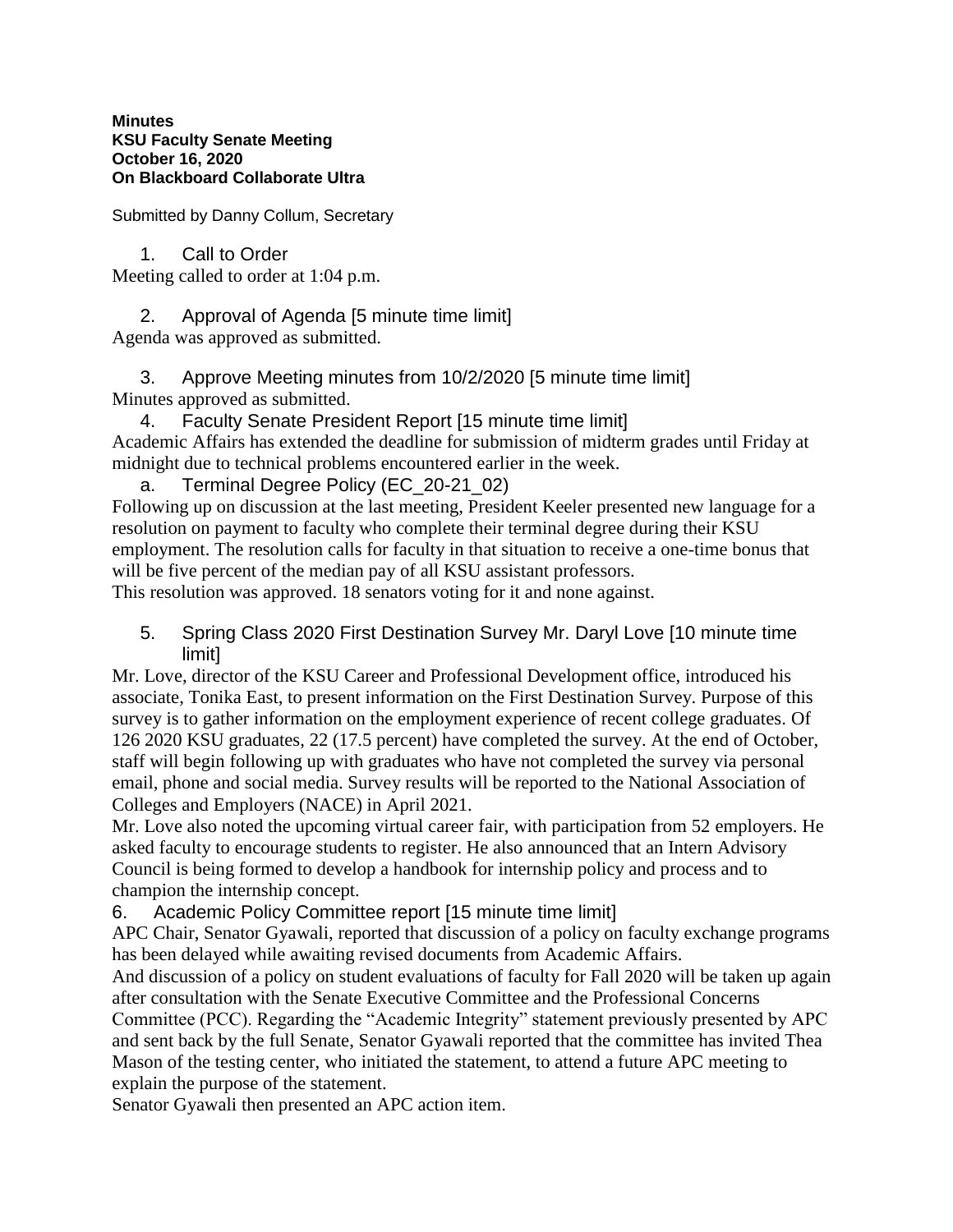### **Minutes KSU Faculty Senate Meeting October 16, 2020 On Blackboard Collaborate Ultra**

Submitted by Danny Collum, Secretary

1. Call to Order Meeting called to order at 1:04 p.m.

2. Approval of Agenda [5 minute time limit] Agenda was approved as submitted.

3. Approve Meeting minutes from 10/2/2020 [5 minute time limit] Minutes approved as submitted.

4. Faculty Senate President Report [15 minute time limit] Academic Affairs has extended the deadline for submission of midterm grades until Friday at midnight due to technical problems encountered earlier in the week.

a. Terminal Degree Policy (EC\_20-21\_02)

Following up on discussion at the last meeting, President Keeler presented new language for a resolution on payment to faculty who complete their terminal degree during their KSU employment. The resolution calls for faculty in that situation to receive a one-time bonus that will be five percent of the median pay of all KSU assistant professors.

This resolution was approved. 18 senators voting for it and none against.

5. Spring Class 2020 First Destination Survey Mr. Daryl Love [10 minute time **limit1** 

Mr. Love, director of the KSU Career and Professional Development office, introduced his associate, Tonika East, to present information on the First Destination Survey. Purpose of this survey is to gather information on the employment experience of recent college graduates. Of 126 2020 KSU graduates, 22 (17.5 percent) have completed the survey. At the end of October, staff will begin following up with graduates who have not completed the survey via personal email, phone and social media. Survey results will be reported to the National Association of Colleges and Employers (NACE) in April 2021.

Mr. Love also noted the upcoming virtual career fair, with participation from 52 employers. He asked faculty to encourage students to register. He also announced that an Intern Advisory Council is being formed to develop a handbook for internship policy and process and to champion the internship concept.

6. Academic Policy Committee report [15 minute time limit]

APC Chair, Senator Gyawali, reported that discussion of a policy on faculty exchange programs has been delayed while awaiting revised documents from Academic Affairs.

And discussion of a policy on student evaluations of faculty for Fall 2020 will be taken up again after consultation with the Senate Executive Committee and the Professional Concerns

Committee (PCC). Regarding the "Academic Integrity" statement previously presented by APC and sent back by the full Senate, Senator Gyawali reported that the committee has invited Thea Mason of the testing center, who initiated the statement, to attend a future APC meeting to explain the purpose of the statement.

Senator Gyawali then presented an APC action item.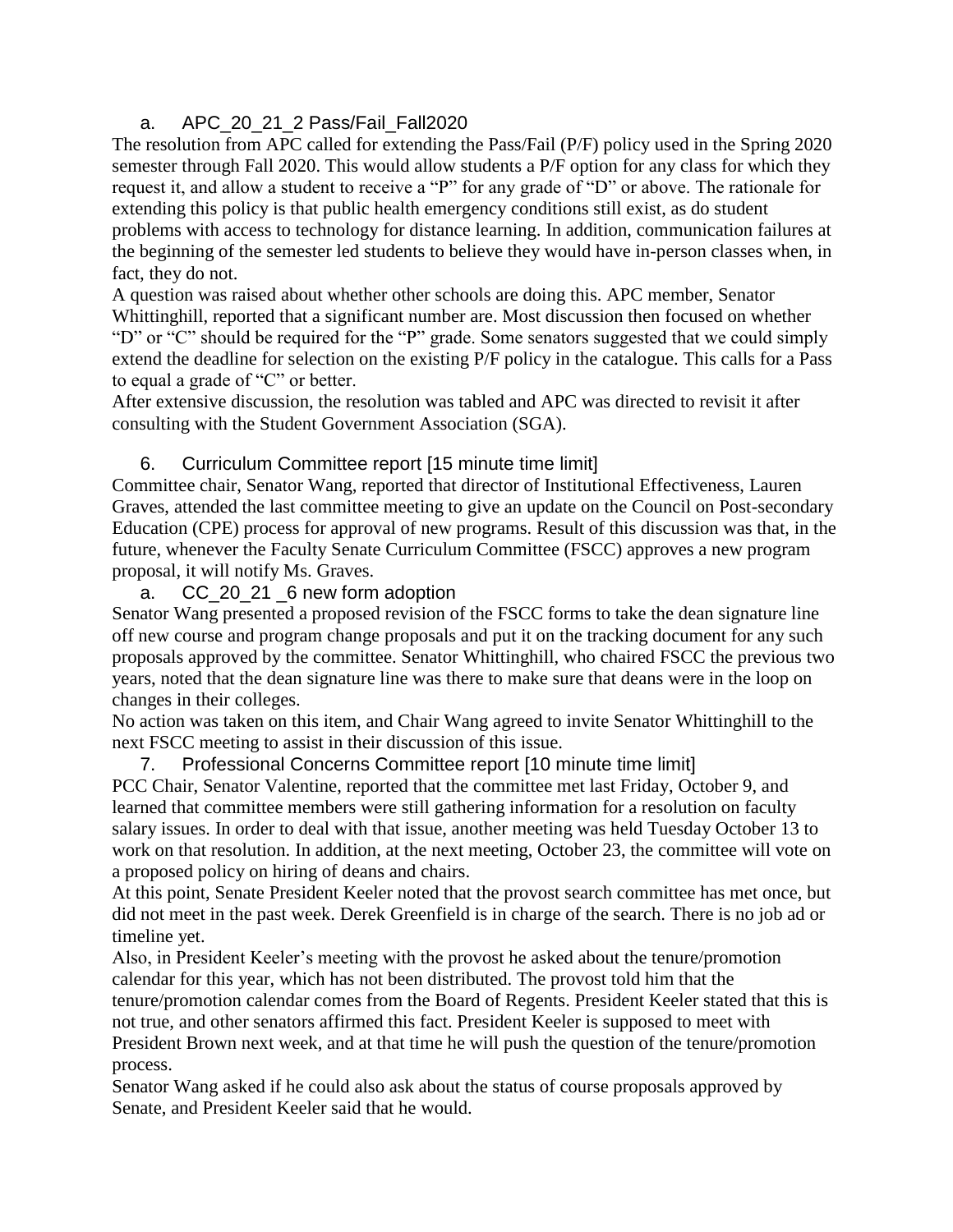# a. APC\_20\_21\_2 Pass/Fail\_Fall2020

The resolution from APC called for extending the Pass/Fail (P/F) policy used in the Spring 2020 semester through Fall 2020. This would allow students a P/F option for any class for which they request it, and allow a student to receive a "P" for any grade of "D" or above. The rationale for extending this policy is that public health emergency conditions still exist, as do student problems with access to technology for distance learning. In addition, communication failures at the beginning of the semester led students to believe they would have in-person classes when, in fact, they do not.

A question was raised about whether other schools are doing this. APC member, Senator Whittinghill, reported that a significant number are. Most discussion then focused on whether "D" or "C" should be required for the "P" grade. Some senators suggested that we could simply extend the deadline for selection on the existing P/F policy in the catalogue. This calls for a Pass to equal a grade of "C" or better.

After extensive discussion, the resolution was tabled and APC was directed to revisit it after consulting with the Student Government Association (SGA).

### 6. Curriculum Committee report [15 minute time limit]

Committee chair, Senator Wang, reported that director of Institutional Effectiveness, Lauren Graves, attended the last committee meeting to give an update on the Council on Post-secondary Education (CPE) process for approval of new programs. Result of this discussion was that, in the future, whenever the Faculty Senate Curriculum Committee (FSCC) approves a new program proposal, it will notify Ms. Graves.

# a. CC 20 21 6 new form adoption

Senator Wang presented a proposed revision of the FSCC forms to take the dean signature line off new course and program change proposals and put it on the tracking document for any such proposals approved by the committee. Senator Whittinghill, who chaired FSCC the previous two years, noted that the dean signature line was there to make sure that deans were in the loop on changes in their colleges.

No action was taken on this item, and Chair Wang agreed to invite Senator Whittinghill to the next FSCC meeting to assist in their discussion of this issue.

7. Professional Concerns Committee report [10 minute time limit] PCC Chair, Senator Valentine, reported that the committee met last Friday, October 9, and learned that committee members were still gathering information for a resolution on faculty salary issues. In order to deal with that issue, another meeting was held Tuesday October 13 to work on that resolution. In addition, at the next meeting, October 23, the committee will vote on a proposed policy on hiring of deans and chairs.

At this point, Senate President Keeler noted that the provost search committee has met once, but did not meet in the past week. Derek Greenfield is in charge of the search. There is no job ad or timeline yet.

Also, in President Keeler's meeting with the provost he asked about the tenure/promotion calendar for this year, which has not been distributed. The provost told him that the tenure/promotion calendar comes from the Board of Regents. President Keeler stated that this is not true, and other senators affirmed this fact. President Keeler is supposed to meet with President Brown next week, and at that time he will push the question of the tenure/promotion process.

Senator Wang asked if he could also ask about the status of course proposals approved by Senate, and President Keeler said that he would.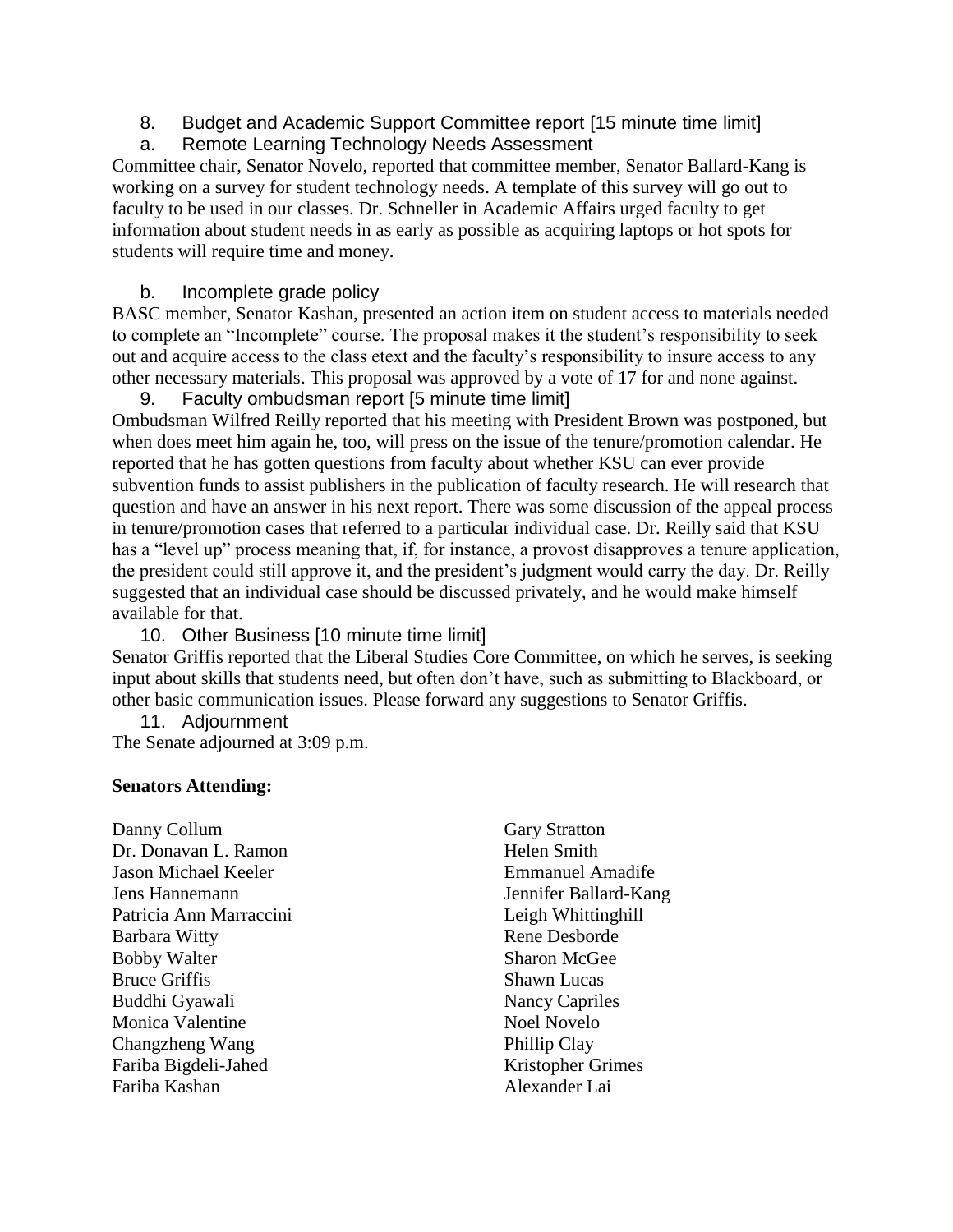- 8. Budget and Academic Support Committee report [15 minute time limit]
- a. Remote Learning Technology Needs Assessment

Committee chair, Senator Novelo, reported that committee member, Senator Ballard-Kang is working on a survey for student technology needs. A template of this survey will go out to faculty to be used in our classes. Dr. Schneller in Academic Affairs urged faculty to get information about student needs in as early as possible as acquiring laptops or hot spots for students will require time and money.

# b. Incomplete grade policy

BASC member, Senator Kashan, presented an action item on student access to materials needed to complete an "Incomplete" course. The proposal makes it the student's responsibility to seek out and acquire access to the class etext and the faculty's responsibility to insure access to any other necessary materials. This proposal was approved by a vote of 17 for and none against.

9. Faculty ombudsman report [5 minute time limit] Ombudsman Wilfred Reilly reported that his meeting with President Brown was postponed, but when does meet him again he, too, will press on the issue of the tenure/promotion calendar. He reported that he has gotten questions from faculty about whether KSU can ever provide subvention funds to assist publishers in the publication of faculty research. He will research that question and have an answer in his next report. There was some discussion of the appeal process in tenure/promotion cases that referred to a particular individual case. Dr. Reilly said that KSU has a "level up" process meaning that, if, for instance, a provost disapproves a tenure application, the president could still approve it, and the president's judgment would carry the day. Dr. Reilly suggested that an individual case should be discussed privately, and he would make himself available for that.

10. Other Business [10 minute time limit] Senator Griffis reported that the Liberal Studies Core Committee, on which he serves, is seeking input about skills that students need, but often don't have, such as submitting to Blackboard, or other basic communication issues. Please forward any suggestions to Senator Griffis.

11. Adjournment The Senate adjourned at 3:09 p.m.

### **Senators Attending:**

Danny Collum Dr. Donavan L. Ramon Jason Michael Keeler Jens Hannemann Patricia Ann Marraccini Barbara Witty Bobby Walter Bruce Griffis Buddhi Gyawali Monica Valentine Changzheng Wang Fariba Bigdeli-Jahed Fariba Kashan

Gary Stratton Helen Smith Emmanuel Amadife Jennifer Ballard-Kang Leigh Whittinghill Rene Desborde Sharon McGee Shawn Lucas Nancy Capriles Noel Novelo Phillip Clay Kristopher Grimes Alexander Lai